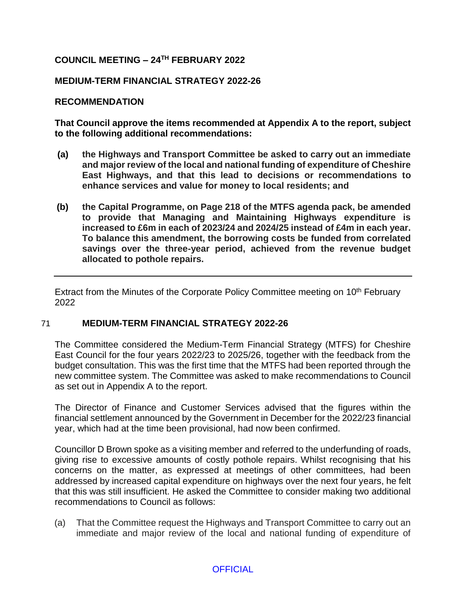# **COUNCIL MEETING – 24TH FEBRUARY 2022**

## **MEDIUM-TERM FINANCIAL STRATEGY 2022-26**

### **RECOMMENDATION**

**That Council approve the items recommended at Appendix A to the report, subject to the following additional recommendations:**

- **(a) the Highways and Transport Committee be asked to carry out an immediate and major review of the local and national funding of expenditure of Cheshire East Highways, and that this lead to decisions or recommendations to enhance services and value for money to local residents; and**
- **(b) the Capital Programme, on Page 218 of the MTFS agenda pack, be amended to provide that Managing and Maintaining Highways expenditure is increased to £6m in each of 2023/24 and 2024/25 instead of £4m in each year. To balance this amendment, the borrowing costs be funded from correlated savings over the three-year period, achieved from the revenue budget allocated to pothole repairs.**

Extract from the Minutes of the Corporate Policy Committee meeting on 10<sup>th</sup> February 2022

### 71 **MEDIUM-TERM FINANCIAL STRATEGY 2022-26**

The Committee considered the Medium-Term Financial Strategy (MTFS) for Cheshire East Council for the four years 2022/23 to 2025/26, together with the feedback from the budget consultation. This was the first time that the MTFS had been reported through the new committee system. The Committee was asked to make recommendations to Council as set out in Appendix A to the report.

The Director of Finance and Customer Services advised that the figures within the financial settlement announced by the Government in December for the 2022/23 financial year, which had at the time been provisional, had now been confirmed.

Councillor D Brown spoke as a visiting member and referred to the underfunding of roads, giving rise to excessive amounts of costly pothole repairs. Whilst recognising that his concerns on the matter, as expressed at meetings of other committees, had been addressed by increased capital expenditure on highways over the next four years, he felt that this was still insufficient. He asked the Committee to consider making two additional recommendations to Council as follows:

(a) That the Committee request the Highways and Transport Committee to carry out an immediate and major review of the local and national funding of expenditure of

### **OFFICIAL**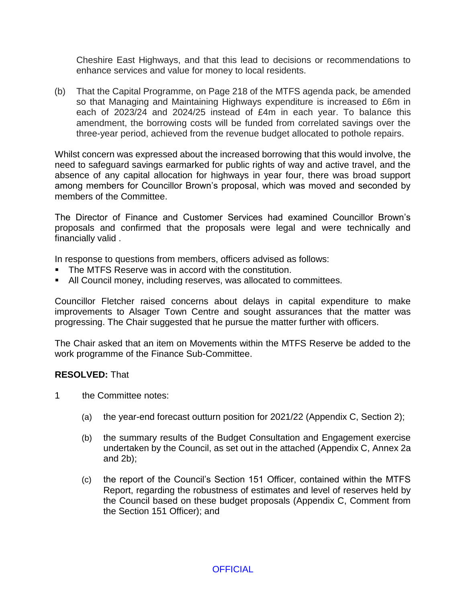Cheshire East Highways, and that this lead to decisions or recommendations to enhance services and value for money to local residents.

(b) That the Capital Programme, on Page 218 of the MTFS agenda pack, be amended so that Managing and Maintaining Highways expenditure is increased to £6m in each of 2023/24 and 2024/25 instead of £4m in each year. To balance this amendment, the borrowing costs will be funded from correlated savings over the three-year period, achieved from the revenue budget allocated to pothole repairs.

Whilst concern was expressed about the increased borrowing that this would involve, the need to safeguard savings earmarked for public rights of way and active travel, and the absence of any capital allocation for highways in year four, there was broad support among members for Councillor Brown's proposal, which was moved and seconded by members of the Committee.

The Director of Finance and Customer Services had examined Councillor Brown's proposals and confirmed that the proposals were legal and were technically and financially valid .

In response to questions from members, officers advised as follows:

- The MTFS Reserve was in accord with the constitution.
- All Council money, including reserves, was allocated to committees.

Councillor Fletcher raised concerns about delays in capital expenditure to make improvements to Alsager Town Centre and sought assurances that the matter was progressing. The Chair suggested that he pursue the matter further with officers.

The Chair asked that an item on Movements within the MTFS Reserve be added to the work programme of the Finance Sub-Committee.

#### **RESOLVED:** That

- 1 the Committee notes:
	- (a) the year-end forecast outturn position for 2021/22 (Appendix C, Section 2);
	- (b) the summary results of the Budget Consultation and Engagement exercise undertaken by the Council, as set out in the attached (Appendix C, Annex 2a and 2b);
	- (c) the report of the Council's Section 151 Officer, contained within the MTFS Report, regarding the robustness of estimates and level of reserves held by the Council based on these budget proposals (Appendix C, Comment from the Section 151 Officer); and

#### **OFFICIAL**